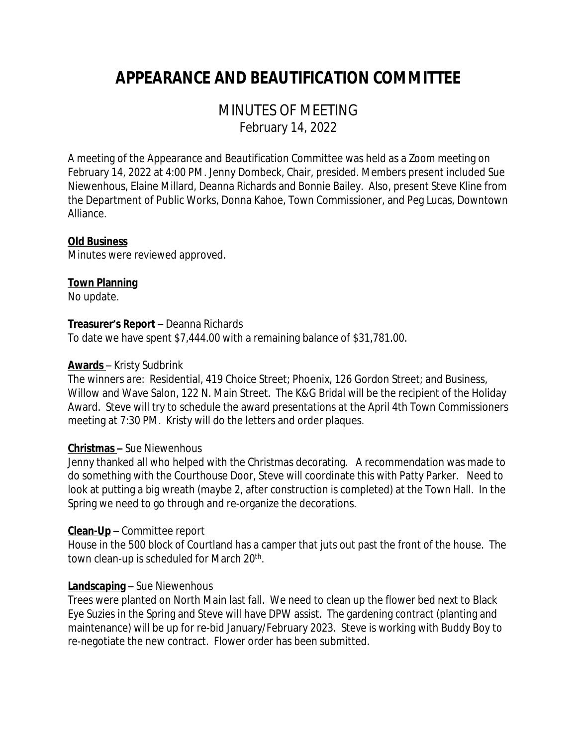# *APPEARANCE AND BEAUTIFICATION COMMITTEE*

# MINUTES OF MEETING February 14, 2022

A meeting of the Appearance and Beautification Committee was held as a Zoom meeting on February 14, 2022 at 4:00 PM. Jenny Dombeck, Chair, presided. Members present included Sue Niewenhous, Elaine Millard, Deanna Richards and Bonnie Bailey. Also, present Steve Kline from the Department of Public Works, Donna Kahoe, Town Commissioner, and Peg Lucas, Downtown Alliance.

# **Old Business**

Minutes were reviewed approved.

# **Town Planning**

No update.

#### **Treasurer's Report** – Deanna Richards

To date we have spent \$7,444.00 with a remaining balance of \$31,781.00.

#### **Awards** – Kristy Sudbrink

The winners are: Residential, 419 Choice Street; Phoenix, 126 Gordon Street; and Business, Willow and Wave Salon, 122 N. Main Street. The K&G Bridal will be the recipient of the Holiday Award. Steve will try to schedule the award presentations at the April 4th Town Commissioners meeting at 7:30 PM. Kristy will do the letters and order plaques.

# **Christmas –** Sue Niewenhous

Jenny thanked all who helped with the Christmas decorating. A recommendation was made to do something with the Courthouse Door, Steve will coordinate this with Patty Parker. Need to look at putting a big wreath (maybe 2, after construction is completed) at the Town Hall. In the Spring we need to go through and re-organize the decorations.

# **Clean-Up** – Committee report

House in the 500 block of Courtland has a camper that juts out past the front of the house. The town clean-up is scheduled for March 20<sup>th</sup>.

# **Landscaping** – Sue Niewenhous

Trees were planted on North Main last fall. We need to clean up the flower bed next to Black Eye Suzies in the Spring and Steve will have DPW assist. The gardening contract (planting and maintenance) will be up for re-bid January/February 2023. Steve is working with Buddy Boy to re-negotiate the new contract. Flower order has been submitted.